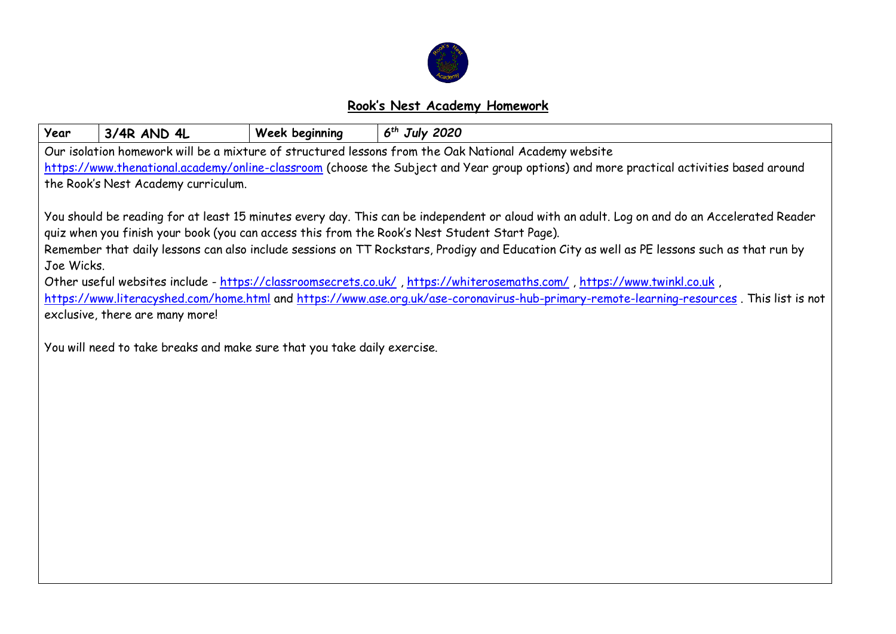

## **Rook's Nest Academy Homework**

| Year                                                                                                                                         | 3/4R AND 4L                                                                                                                                                                  | Week beginning | $6th$ July 2020 |  |  |  |  |  |  |
|----------------------------------------------------------------------------------------------------------------------------------------------|------------------------------------------------------------------------------------------------------------------------------------------------------------------------------|----------------|-----------------|--|--|--|--|--|--|
|                                                                                                                                              | Our isolation homework will be a mixture of structured lessons from the Oak National Academy website                                                                         |                |                 |  |  |  |  |  |  |
| https://www.thenational.academy/online-classroom (choose the Subject and Year group options) and more practical activities based around      |                                                                                                                                                                              |                |                 |  |  |  |  |  |  |
|                                                                                                                                              | the Rook's Nest Academy curriculum.                                                                                                                                          |                |                 |  |  |  |  |  |  |
|                                                                                                                                              |                                                                                                                                                                              |                |                 |  |  |  |  |  |  |
| You should be reading for at least 15 minutes every day. This can be independent or aloud with an adult. Log on and do an Accelerated Reader |                                                                                                                                                                              |                |                 |  |  |  |  |  |  |
| quiz when you finish your book (you can access this from the Rook's Nest Student Start Page).                                                |                                                                                                                                                                              |                |                 |  |  |  |  |  |  |
| Remember that daily lessons can also include sessions on TT Rockstars, Prodigy and Education City as well as PE lessons such as that run by  |                                                                                                                                                                              |                |                 |  |  |  |  |  |  |
| Joe Wicks.                                                                                                                                   |                                                                                                                                                                              |                |                 |  |  |  |  |  |  |
| , Other useful websites include - https://classroomsecrets.co.uk/, https://whiterosemaths.com/, https://www.twinkl.co.uk                     |                                                                                                                                                                              |                |                 |  |  |  |  |  |  |
|                                                                                                                                              | https://www.literacyshed.com/home.html and https://www.ase.org.uk/ase-coronavirus-hub-primary-remote-learning-resources. This list is not<br>exclusive, there are many more! |                |                 |  |  |  |  |  |  |
|                                                                                                                                              |                                                                                                                                                                              |                |                 |  |  |  |  |  |  |
|                                                                                                                                              | You will need to take breaks and make sure that you take daily exercise.                                                                                                     |                |                 |  |  |  |  |  |  |
|                                                                                                                                              |                                                                                                                                                                              |                |                 |  |  |  |  |  |  |
|                                                                                                                                              |                                                                                                                                                                              |                |                 |  |  |  |  |  |  |
|                                                                                                                                              |                                                                                                                                                                              |                |                 |  |  |  |  |  |  |
|                                                                                                                                              |                                                                                                                                                                              |                |                 |  |  |  |  |  |  |
|                                                                                                                                              |                                                                                                                                                                              |                |                 |  |  |  |  |  |  |
|                                                                                                                                              |                                                                                                                                                                              |                |                 |  |  |  |  |  |  |
|                                                                                                                                              |                                                                                                                                                                              |                |                 |  |  |  |  |  |  |
|                                                                                                                                              |                                                                                                                                                                              |                |                 |  |  |  |  |  |  |
|                                                                                                                                              |                                                                                                                                                                              |                |                 |  |  |  |  |  |  |
|                                                                                                                                              |                                                                                                                                                                              |                |                 |  |  |  |  |  |  |
|                                                                                                                                              |                                                                                                                                                                              |                |                 |  |  |  |  |  |  |
|                                                                                                                                              |                                                                                                                                                                              |                |                 |  |  |  |  |  |  |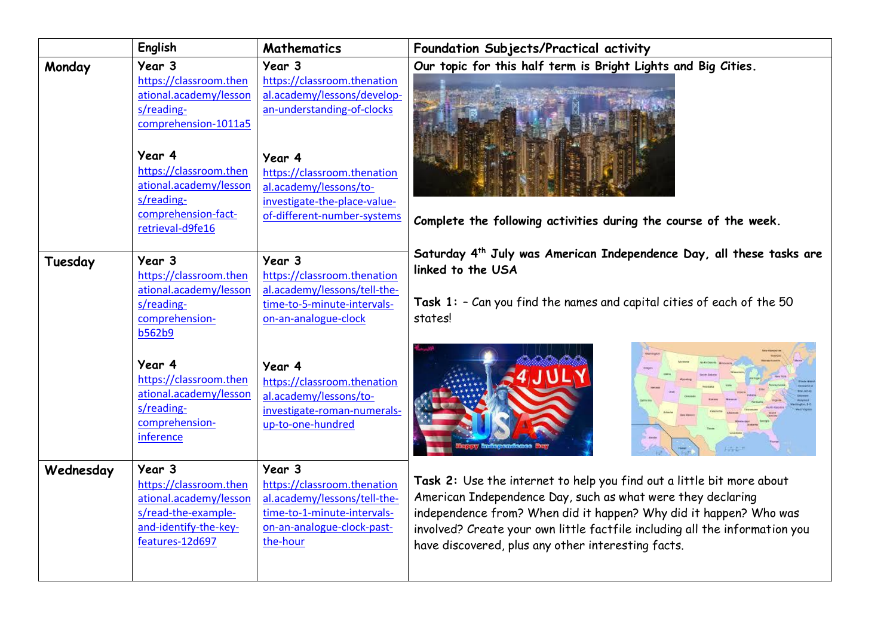|           | English                                                                                                                                                                      | Mathematics                                                                                                                                                           | Foundation Subjects/Practical activity                                                                                                                                                                                                                                                                                                         |
|-----------|------------------------------------------------------------------------------------------------------------------------------------------------------------------------------|-----------------------------------------------------------------------------------------------------------------------------------------------------------------------|------------------------------------------------------------------------------------------------------------------------------------------------------------------------------------------------------------------------------------------------------------------------------------------------------------------------------------------------|
| Monday    | Year 3<br>https://classroom.then<br>ational.academy/lesson<br>s/reading-<br>comprehension-1011a5<br>Year 4<br>https://classroom.then<br>ational.academy/lesson<br>s/reading- | Year 3<br>https://classroom.thenation<br>al.academy/lessons/develop-<br>an-understanding-of-clocks<br>Year 4<br>https://classroom.thenation<br>al.academy/lessons/to- | Our topic for this half term is Bright Lights and Big Cities.                                                                                                                                                                                                                                                                                  |
|           | comprehension-fact-<br>retrieval-d9fe16                                                                                                                                      | investigate-the-place-value-<br>of-different-number-systems                                                                                                           | Complete the following activities during the course of the week.                                                                                                                                                                                                                                                                               |
| Tuesday   | Year 3<br>https://classroom.then<br>ational.academy/lesson<br>s/reading-<br>comprehension-<br><b>b562b9</b>                                                                  | Year 3<br>https://classroom.thenation<br>al.academy/lessons/tell-the-<br>time-to-5-minute-intervals-<br>on-an-analogue-clock                                          | Saturday 4 <sup>th</sup> July was American Independence Day, all these tasks are<br>linked to the USA<br>Task $1:$ - Can you find the names and capital cities of each of the 50<br>states!                                                                                                                                                    |
|           | Year 4<br>https://classroom.then<br>ational.academy/lesson<br>s/reading-<br>comprehension-<br>inference                                                                      | Year 4<br>https://classroom.thenation<br>al.academy/lessons/to-<br>investigate-roman-numerals-<br>up-to-one-hundred                                                   |                                                                                                                                                                                                                                                                                                                                                |
| Wednesday | Year 3<br>https://classroom.then<br>ational.academy/lesson<br>s/read-the-example-<br>and-identify-the-key-<br>features-12d697                                                | Year 3<br>https://classroom.thenation<br>al.academy/lessons/tell-the-<br>time-to-1-minute-intervals-<br>on-an-analogue-clock-past-<br>the-hour                        | Task 2: Use the internet to help you find out a little bit more about<br>American Independence Day, such as what were they declaring<br>independence from? When did it happen? Why did it happen? Who was<br>involved? Create your own little factfile including all the information you<br>have discovered, plus any other interesting facts. |